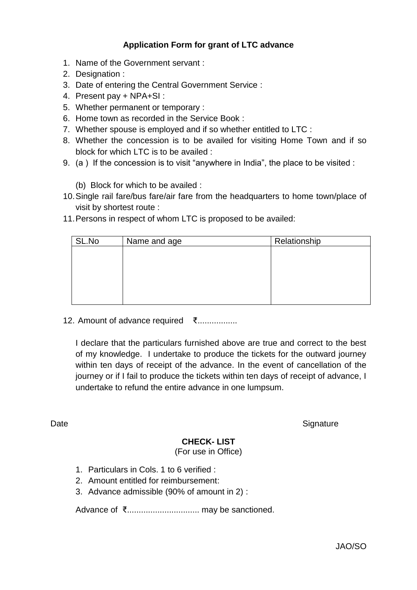## **Application Form for grant of LTC advance**

- 1. Name of the Government servant :
- 2. Designation :
- 3. Date of entering the Central Government Service :
- 4. Present pay + NPA+SI :
- 5. Whether permanent or temporary :
- 6. Home town as recorded in the Service Book :
- 7. Whether spouse is employed and if so whether entitled to LTC :
- 8. Whether the concession is to be availed for visiting Home Town and if so block for which LTC is to be availed :
- 9. (a ) If the concession is to visit "anywhere in India", the place to be visited :

(b) Block for which to be availed :

- 10.Single rail fare/bus fare/air fare from the headquarters to home town/place of visit by shortest route :
- 11.Persons in respect of whom LTC is proposed to be availed:

| SL.No | Name and age | Relationship |  |  |  |  |
|-------|--------------|--------------|--|--|--|--|
|       |              |              |  |  |  |  |
|       |              |              |  |  |  |  |
|       |              |              |  |  |  |  |
|       |              |              |  |  |  |  |
|       |              |              |  |  |  |  |

12. Amount of advance required ₹.................

I declare that the particulars furnished above are true and correct to the best of my knowledge. I undertake to produce the tickets for the outward journey within ten days of receipt of the advance. In the event of cancellation of the journey or if I fail to produce the tickets within ten days of receipt of advance, I undertake to refund the entire advance in one lumpsum.

Date Signature

### **CHECK- LIST**

(For use in Office)

- 1. Particulars in Cols. 1 to 6 verified :
- 2. Amount entitled for reimbursement:
- 3. Advance admissible (90% of amount in 2) :

Advance of ₹............................... may be sanctioned.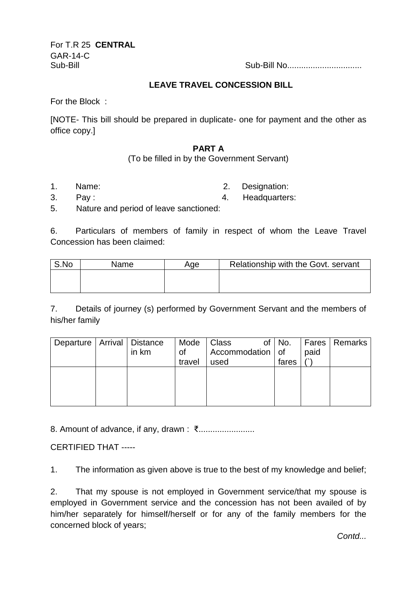For T.R 25 **CENTRAL** GAR-14-C

Sub-Bill Sub-Bill No................................

#### **LEAVE TRAVEL CONCESSION BILL**

For the Block :

[NOTE- This bill should be prepared in duplicate- one for payment and the other as office copy.]

#### **PART A**

(To be filled in by the Government Servant)

1. Name: 2. Designation:

3. Pay : 4. Headquarters:

5. Nature and period of leave sanctioned:

6. Particulars of members of family in respect of whom the Leave Travel Concession has been claimed:

| S.No | Name | Age | Relationship with the Govt. servant |
|------|------|-----|-------------------------------------|
|      |      |     |                                     |
|      |      |     |                                     |

7. Details of journey (s) performed by Government Servant and the members of his/her family

| Departure   Arrival   Distance | in km | Mode<br>Οt | J Class<br>Accommodation   of | of No. | paid | Fares   Remarks |
|--------------------------------|-------|------------|-------------------------------|--------|------|-----------------|
|                                |       | travel     | used                          | fares  |      |                 |
|                                |       |            |                               |        |      |                 |
|                                |       |            |                               |        |      |                 |
|                                |       |            |                               |        |      |                 |
|                                |       |            |                               |        |      |                 |

8. Amount of advance, if any, drawn : ₹........................

CERTIFIED THAT -----

1. The information as given above is true to the best of my knowledge and belief;

2. That my spouse is not employed in Government service/that my spouse is employed in Government service and the concession has not been availed of by him/her separately for himself/herself or for any of the family members for the concerned block of years;

*Contd...*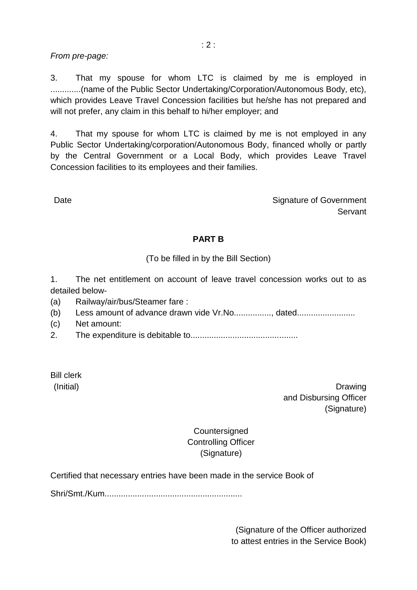### *From pre-page:*

3. That my spouse for whom LTC is claimed by me is employed in .............(name of the Public Sector Undertaking/Corporation/Autonomous Body, etc), which provides Leave Travel Concession facilities but he/she has not prepared and will not prefer, any claim in this behalf to hi/her employer; and

4. That my spouse for whom LTC is claimed by me is not employed in any Public Sector Undertaking/corporation/Autonomous Body, financed wholly or partly by the Central Government or a Local Body, which provides Leave Travel Concession facilities to its employees and their families.

Date **Signature of Government Servant** 

#### **PART B**

(To be filled in by the Bill Section)

1. The net entitlement on account of leave travel concession works out to as detailed below-

(a) Railway/air/bus/Steamer fare :

(b) Less amount of advance drawn vide Vr.No................, dated.........................

- (c) Net amount:
- 2. The expenditure is debitable to..............................................

Bill clerk

(Initial) **Drawing** and Disbursing Officer (Signature)

> **Countersigned** Controlling Officer (Signature)

Certified that necessary entries have been made in the service Book of

Shri/Smt./Kum...........................................................

(Signature of the Officer authorized to attest entries in the Service Book)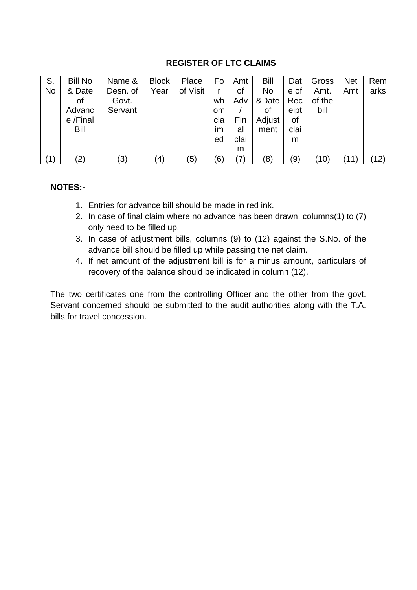### **REGISTER OF LTC CLAIMS**

| S.        | <b>Bill No</b>    | Name &   | <b>Block</b>      | Place    | Fo        | Amt  | Bill      | Dat  | Gross  | <b>Net</b> | Rem  |
|-----------|-------------------|----------|-------------------|----------|-----------|------|-----------|------|--------|------------|------|
| <b>No</b> | & Date            | Desn. of | Year              | of Visit |           | of   | <b>No</b> | e of | Amt.   | Amt        | arks |
|           | of                | Govt.    |                   |          | wh        | Adv  | &Date     | Rec  | of the |            |      |
|           | Advanc            | Servant  |                   |          | <b>om</b> |      | οf        | eipt | bill   |            |      |
|           | e /Final          |          |                   |          | cla       | Fin  | Adjust    | 0f   |        |            |      |
|           | Bill              |          |                   |          | im        | al   | ment      | clai |        |            |      |
|           |                   |          |                   |          | ed        | clai |           | m    |        |            |      |
|           |                   |          |                   |          |           | m    |           |      |        |            |      |
| (1)       | $\left( 2\right)$ | (3)      | $\left( 4\right)$ | (5)      | (6)       | (7)  | (8)       | (9)  | (10)   | 11         | (12) |

### **NOTES:-**

- 1. Entries for advance bill should be made in red ink.
- 2. In case of final claim where no advance has been drawn, columns(1) to (7) only need to be filled up.
- 3. In case of adjustment bills, columns (9) to (12) against the S.No. of the advance bill should be filled up while passing the net claim.
- 4. If net amount of the adjustment bill is for a minus amount, particulars of recovery of the balance should be indicated in column (12).

The two certificates one from the controlling Officer and the other from the govt. Servant concerned should be submitted to the audit authorities along with the T.A. bills for travel concession.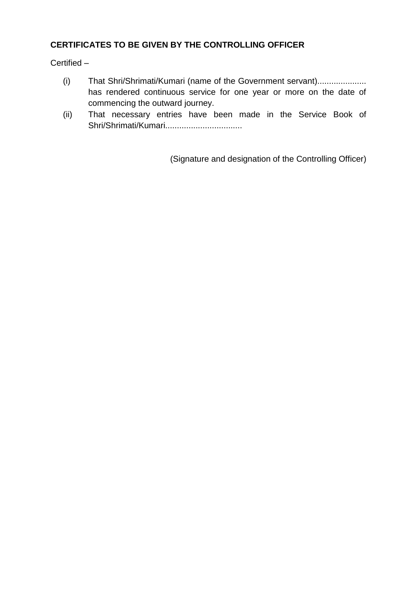# **CERTIFICATES TO BE GIVEN BY THE CONTROLLING OFFICER**

Certified –

- (i) That Shri/Shrimati/Kumari (name of the Government servant)................... has rendered continuous service for one year or more on the date of commencing the outward journey.
- (ii) That necessary entries have been made in the Service Book of Shri/Shrimati/Kumari.................................

(Signature and designation of the Controlling Officer)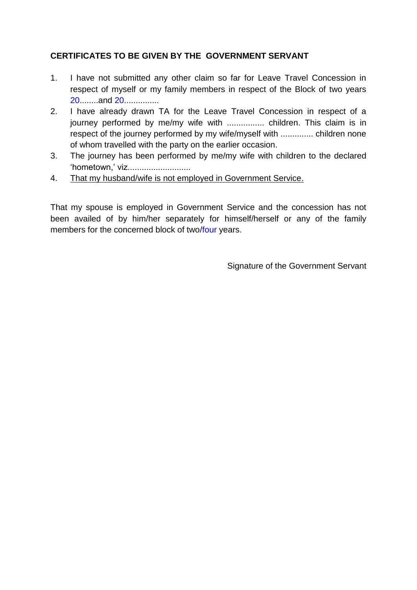# **CERTIFICATES TO BE GIVEN BY THE GOVERNMENT SERVANT**

- 1. I have not submitted any other claim so far for Leave Travel Concession in respect of myself or my family members in respect of the Block of two years 20........and 20...............
- 2. I have already drawn TA for the Leave Travel Concession in respect of a journey performed by me/my wife with ................. children. This claim is in respect of the journey performed by my wife/myself with .............. children none of whom travelled with the party on the earlier occasion.
- 3. The journey has been performed by me/my wife with children to the declared "hometown.' viz..........................
- 4. That my husband/wife is not employed in Government Service.

That my spouse is employed in Government Service and the concession has not been availed of by him/her separately for himself/herself or any of the family members for the concerned block of two/four years.

Signature of the Government Servant